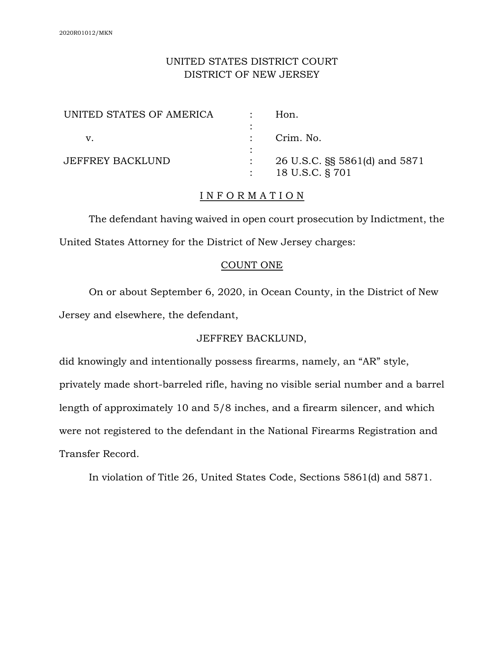# UNITED STATES DISTRICT COURT DISTRICT OF NEW JERSEY

| UNITED STATES OF AMERICA | Hon.                          |
|--------------------------|-------------------------------|
| V.                       | Crim. No.                     |
| <b>JEFFREY BACKLUND</b>  | 26 U.S.C. §§ 5861(d) and 5871 |
|                          | 18 U.S.C. § 701               |

## I N F O R M A T I O N

The defendant having waived in open court prosecution by Indictment, the United States Attorney for the District of New Jersey charges:

### COUNT ONE

On or about September 6, 2020, in Ocean County, in the District of New Jersey and elsewhere, the defendant,

# JEFFREY BACKLUND,

did knowingly and intentionally possess firearms, namely, an "AR" style, privately made short-barreled rifle, having no visible serial number and a barrel length of approximately 10 and 5/8 inches, and a firearm silencer, and which were not registered to the defendant in the National Firearms Registration and Transfer Record.

In violation of Title 26, United States Code, Sections 5861(d) and 5871.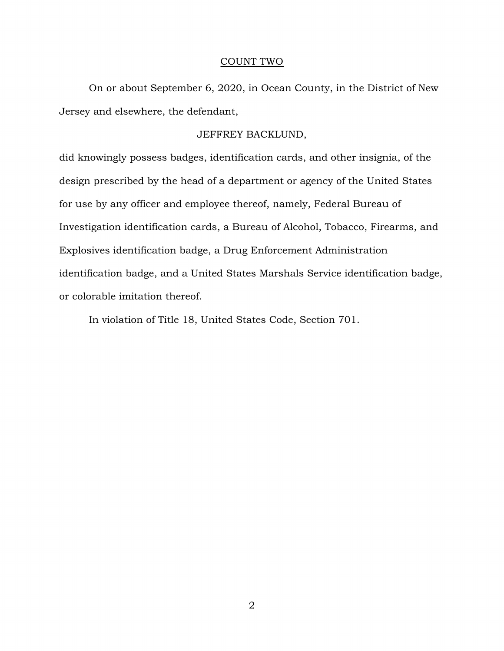#### COUNT TWO

On or about September 6, 2020, in Ocean County, in the District of New Jersey and elsewhere, the defendant,

#### JEFFREY BACKLUND,

did knowingly possess badges, identification cards, and other insignia, of the design prescribed by the head of a department or agency of the United States for use by any officer and employee thereof, namely, Federal Bureau of Investigation identification cards, a Bureau of Alcohol, Tobacco, Firearms, and Explosives identification badge, a Drug Enforcement Administration identification badge, and a United States Marshals Service identification badge, or colorable imitation thereof.

In violation of Title 18, United States Code, Section 701.

2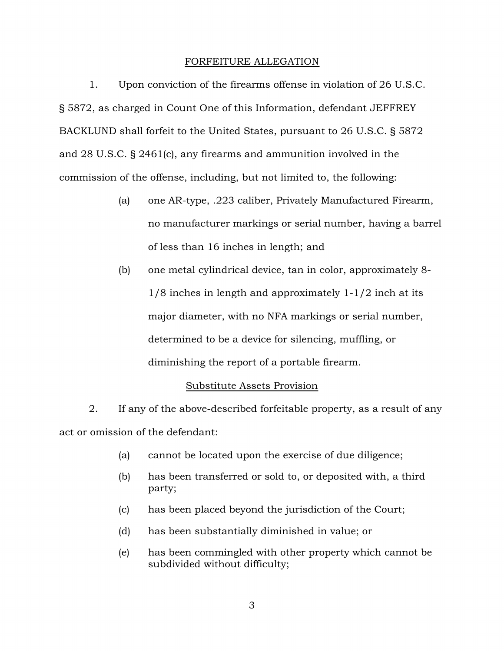## FORFEITURE ALLEGATION

1. Upon conviction of the firearms offense in violation of 26 U.S.C. § 5872, as charged in Count One of this Information, defendant JEFFREY BACKLUND shall forfeit to the United States, pursuant to 26 U.S.C. § 5872 and 28 U.S.C. § 2461(c), any firearms and ammunition involved in the commission of the offense, including, but not limited to, the following:

- (a) one AR-type, .223 caliber, Privately Manufactured Firearm, no manufacturer markings or serial number, having a barrel of less than 16 inches in length; and
- (b) one metal cylindrical device, tan in color, approximately 8- 1/8 inches in length and approximately 1-1/2 inch at its major diameter, with no NFA markings or serial number, determined to be a device for silencing, muffling, or diminishing the report of a portable firearm.

# Substitute Assets Provision

2. If any of the above-described forfeitable property, as a result of any act or omission of the defendant:

- (a) cannot be located upon the exercise of due diligence;
- (b) has been transferred or sold to, or deposited with, a third party;
- (c) has been placed beyond the jurisdiction of the Court;
- (d) has been substantially diminished in value; or
- (e) has been commingled with other property which cannot be subdivided without difficulty;